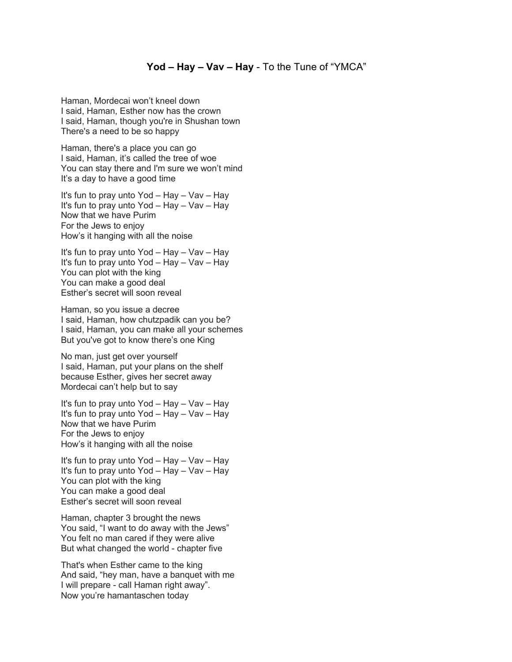## **Yod – Hay – Vav – Hay** - To the Tune of "YMCA"

Haman, Mordecai won't kneel down I said, Haman, Esther now has the crown I said, Haman, though you're in Shushan town There's a need to be so happy

Haman, there's a place you can go I said, Haman, it's called the tree of woe You can stay there and I'm sure we won't mind It's a day to have a good time

It's fun to pray unto Yod – Hay – Vav – Hay It's fun to pray unto Yod – Hay – Vav – Hay Now that we have Purim For the Jews to enjoy How's it hanging with all the noise

It's fun to pray unto Yod – Hay – Vav – Hay It's fun to pray unto Yod – Hay – Vav – Hay You can plot with the king You can make a good deal Esther's secret will soon reveal

Haman, so you issue a decree I said, Haman, how chutzpadik can you be? I said, Haman, you can make all your schemes But you've got to know there's one King

No man, just get over yourself I said, Haman, put your plans on the shelf because Esther, gives her secret away Mordecai can't help but to say

It's fun to pray unto Yod – Hay – Vav – Hay It's fun to pray unto Yod – Hay – Vav – Hay Now that we have Purim For the Jews to enjoy How's it hanging with all the noise

It's fun to pray unto Yod – Hay – Vav – Hay It's fun to pray unto Yod – Hay – Vav – Hay You can plot with the king You can make a good deal Esther's secret will soon reveal

Haman, chapter 3 brought the news You said, "I want to do away with the Jews" You felt no man cared if they were alive But what changed the world - chapter five

That's when Esther came to the king And said, "hey man, have a banquet with me I will prepare - call Haman right away". Now you're hamantaschen today